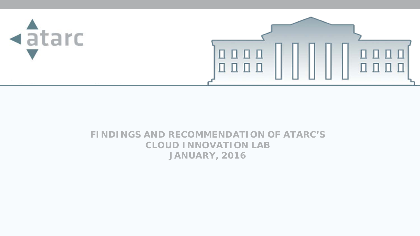

### **FINDINGS AND RECOMMENDATION OF ATARC'S CLOUD INNOVATION LAB JANUARY, 2016**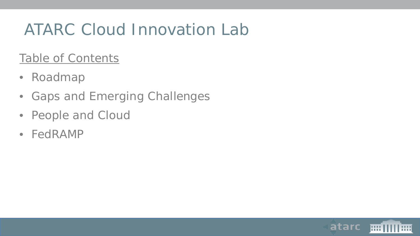# ATARC Cloud Innovation Lab

### Table of Contents

- Roadmap
- Gaps and Emerging Challenges
- People and Cloud
- FedRAMP

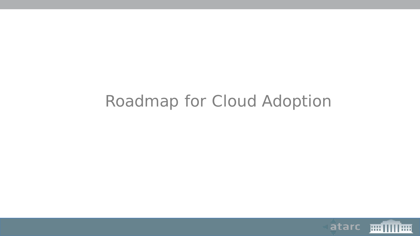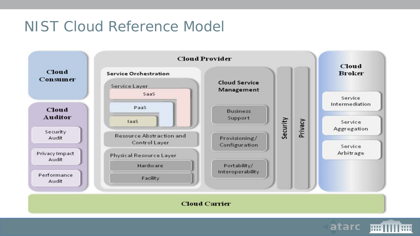### NIST Cloud Reference Model



**HH IIII HH** 

atarc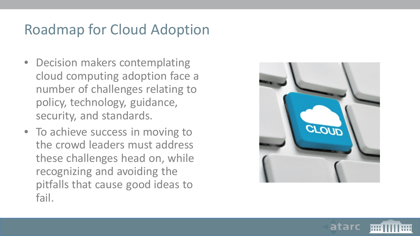- Decision makers contemplating cloud computing adoption face a number of challenges relating to policy, technology, guidance, security, and standards.
- To achieve success in moving to the crowd leaders must address these challenges head on, while recognizing and avoiding the pitfalls that cause good ideas to fail.



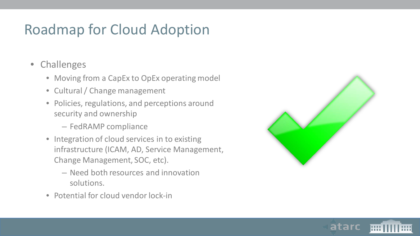- Challenges
	- Moving from a CapEx to OpEx operating model
	- Cultural / Change management
	- Policies, regulations, and perceptions around security and ownership
		- FedRAMP compliance
	- Integration of cloud services in to existing infrastructure (ICAM, AD, Service Management, Change Management, SOC, etc).
		- Need both resources and innovation solutions.
	- Potential for cloud vendor lock-in



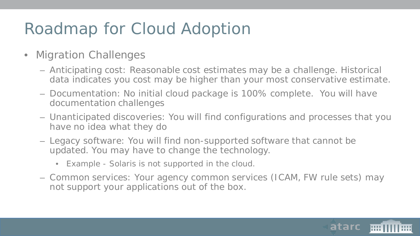- Migration Challenges
	- Anticipating cost: Reasonable cost estimates may be a challenge. Historical data indicates you cost may be higher than your most conservative estimate.
	- Documentation: No initial cloud package is 100% complete. You will have documentation challenges
	- Unanticipated discoveries: You will find configurations and processes that you have no idea what they do
	- Legacy software: You will find non-supported software that cannot be updated. You may have to change the technology.
		- Example Solaris is not supported in the cloud.
	- Common services: Your agency common services (ICAM, FW rule sets) may not support your applications out of the box.

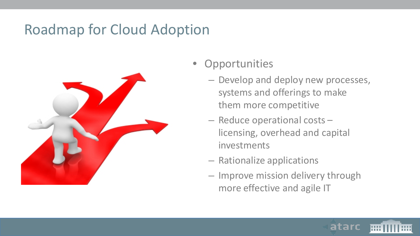

- **Opportunities** 
	- Develop and deploy new processes, systems and offerings to make them more competitive
	- Reduce operational costs licensing, overhead and capital investments
	- Rationalize applications
	- Improve mission delivery through more effective and agile IT

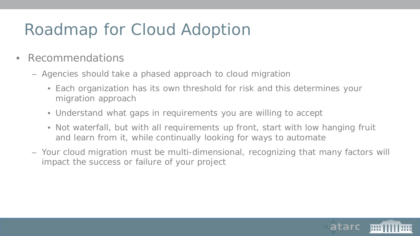- Recommendations
	- Agencies should take a phased approach to cloud migration
		- Each organization has its own threshold for risk and this determines your migration approach
		- Understand what gaps in requirements you are willing to accept
		- Not waterfall, but with all requirements up front, start with low hanging fruit and learn from it, while continually looking for ways to automate
	- Your cloud migration must be multi-dimensional, recognizing that many factors will impact the success or failure of your project

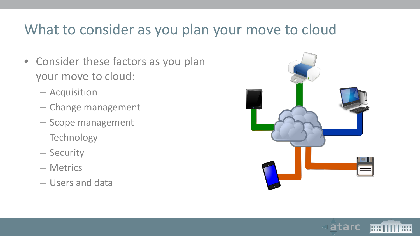### What to consider as you plan your move to cloud

- Consider these factors as you plan your move to cloud:
	- Acquisition
	- Change management
	- Scope management
	- Technology
	- Security
	- Metrics
	- Users and data



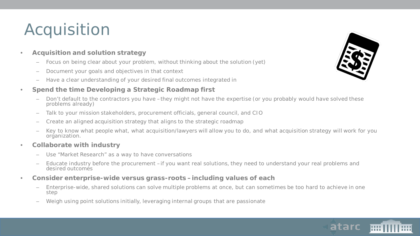# Acquisition

- **Acquisition and solution strategy**
	- Focus on being clear about your problem, without thinking about the solution (yet)
	- Document your goals and objectives in that context
	- Have a clear understanding of your desired final outcomes integrated in

#### • **Spend the time Developing a Strategic Roadmap first**

- Don't default to the contractors you have –they might not have the expertise (or you probably would have solved these problems already)
- Talk to your mission stakeholders, procurement officials, general council, and CIO
- Create an aligned acquisition strategy that aligns to the strategic roadmap
- Key to know what people what, what acquisition/lawyers will allow you to do, and what acquisition strategy will work for you organization.
- **Collaborate with industry**
	- Use "Market Research" as a way to have conversations
	- Educate industry before the procurement –if you want real solutions, they need to understand your real problems and desired outcomes
- **Consider enterprise-wide versus grass-roots –including values of each**
	- Enterprise-wide, shared solutions can solve multiple problems at once, but can sometimes be too hard to achieve in one step
	- Weigh using point solutions initially, leveraging internal groups that are passionate



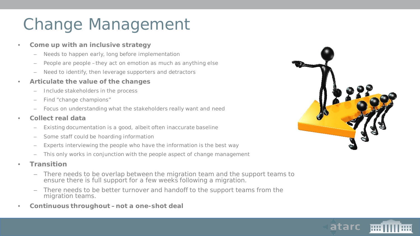# Change Management

#### • **Come up with an inclusive strategy**

- Needs to happen early, long before implementation
- People are people –they act on emotion as much as anything else
- Need to identify, then leverage supporters and detractors

#### • **Articulate the value of the changes**

- Include stakeholders in the process
- Find "change champions"
- Focus on understanding what the stakeholders really want and need

#### • **Collect real data**

- Existing documentation is a good, albeit often inaccurate baseline
- Some staff could be hoarding information
- Experts interviewing the people who have the information is the best way
- This only works in conjunction with the people aspect of change management
- **Transition**
	- There needs to be overlap between the migration team and the support teams to ensure there is full support for a few weeks following a migration.
	- There needs to be better turnover and handoff to the support teams from the migration teams.
- *Continuous throughout –not a one-shot deal*



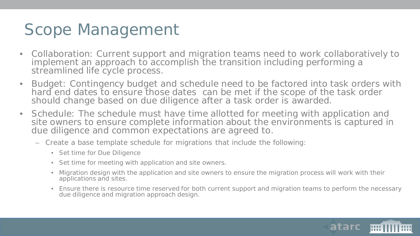# Scope Management

- Collaboration: Current support and migration teams need to work collaboratively to implement an approach to accomplish the transition including performing a streamlined life cycle process.
- Budget: Contingency budget and schedule need to be factored into task orders with hard end dates to ensure those dates can be met if the scope of the task order should change based on due diligence after a task order is awarded.
- Schedule: The schedule must have time allotted for meeting with application and site owners to ensure complete information about the environments is captured in due diligence and common expectations are agreed to.
	- Create a base template schedule for migrations that include the following:
		- Set time for Due Diligence
		- Set time for meeting with application and site owners.
		- Migration design with the application and site owners to ensure the migration process will work with their applications and sites.
		- Ensure there is resource time reserved for both current support and migration teams to perform the necessary due diligence and migration approach design.

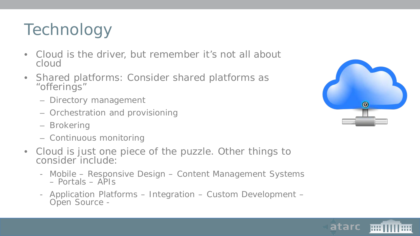# **Technology**

- Cloud is the driver, but remember it's not all about cloud
- Shared platforms: Consider shared platforms as "offerings"
	- Directory management
	- Orchestration and provisioning
	- Brokering
	- Continuous monitoring
- Cloud is just one piece of the puzzle. Other things to consider include:
	- Mobile Responsive Design Content Management Systems Portals APIs
	- Application Platforms Integration Custom Development Open Source -



atarc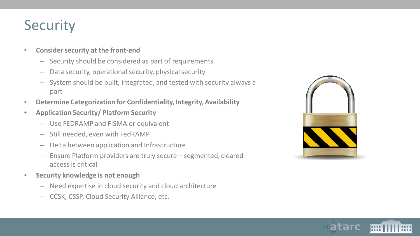### **Security**

#### • **Consider security at the front-end**

- Security should be considered as part of requirements
- Data security, operational security, physical security
- System should be built, integrated, and tested with security always a part
- **Determine Categorization for Confidentiality, Integrity, Availability**
- **Application Security/ Platform Security**
	- Use FEDRAMP and FISMA or equivalent
	- Still needed, even with FedRAMP
	- Delta between application and Infrastructure
	- Ensure Platform providers are truly secure segmented, cleared access is critical
- **Security knowledge is not enough**
	- Need expertise in cloud security and cloud architecture
	- CCSK, CSSP, Cloud Security Alliance, etc.



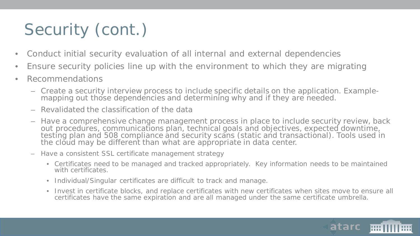# Security (cont.)

- Conduct initial security evaluation of all internal and external dependencies
- Ensure security policies line up with the environment to which they are migrating
- Recommendations
	- Create a security interview process to include specific details on the application. Example- mapping out those dependencies and determining why and if they are needed.
	- Revalidated the classification of the data
	- Have a comprehensive change management process in place to include security review, back out procedures, communications plan, technical goals and objectives, expected downtime, testing plan and 508 compliance and security scans (static and transactional). Tools used in the cloud may be different than what are appropriate in data center.
	- Have a consistent SSL certificate management strategy
		- Certificates need to be managed and tracked appropriately. Key information needs to be maintained with certificates.
		- Individual/Singular certificates are difficult to track and manage.
		- Invest in certificate blocks, and replace certificates with new certificates when sites move to ensure all certificates have the same expiration and are all managed under the same certificate umbrella.

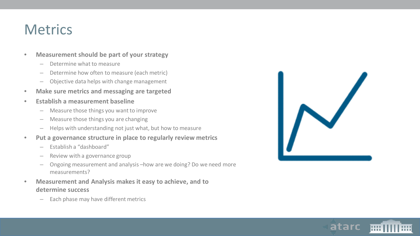### **Metrics**

#### • **Measurement should be part of your strategy**

- Determine what to measure
- Determine how often to measure (each metric)
- Objective data helps with change management
- **Make sure metrics and messaging are targeted**
- **Establish a measurement baseline**
	- Measure those things you want to improve
	- Measure those things you are changing
	- Helps with understanding not just what, but how to measure
- **Put a governance structure in place to regularly review metrics**
	- Establish a "dashboard"
	- Review with a governance group
	- Ongoing measurement and analysis –how are we doing? Do we need more measurements?
- **Measurement and Analysis makes it easy to achieve, and to determine success**
	- Each phase may have different metrics



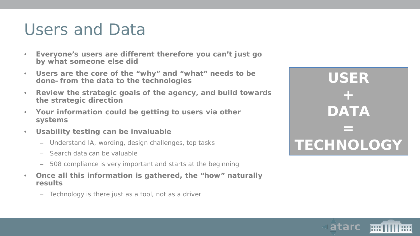### Users and Data

- **Everyone's users are different therefore you can't just go by what someone else did**
- **Users are the core of the "why" and "what" needs to be done–from the** *data* **to the** *technologies*
- **Review the strategic goals of the agency, and build towards the strategic direction**
- **Your information could be getting to users via other systems**
- **Usability testing can be invaluable**
	- Understand IA, wording, design challenges, top tasks
	- Search data can be valuable
	- 508 compliance is very important and starts at the beginning
- **Once all this information is gathered, the "how" naturally results**
	- Technology is there just as a tool, not as a driver

**USER + DATA = TECHNOLOGY**

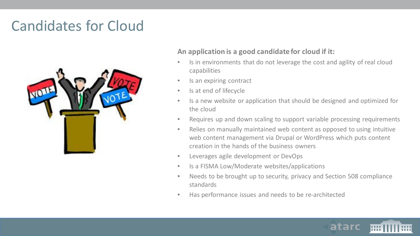### Candidates for Cloud



#### **An application is a good candidate for cloud if it:**

- Is in environments that do not leverage the cost and agility of real cloud capabilities
- Is an expiring contract
- Is at end of lifecycle
- Is a new website or application that should be designed and optimized for the cloud
- Requires up and down scaling to support variable processing requirements
- Relies on manually maintained web content as opposed to using intuitive web content management via Drupal or WordPress which puts content creation in the hands of the business owners
- Leverages agile development or DevOps
- Is a FISMA Low/Moderate websites/applications
- Needs to be brought up to security, privacy and Section 508 compliance standards
- Has performance issues and needs to be re-architected

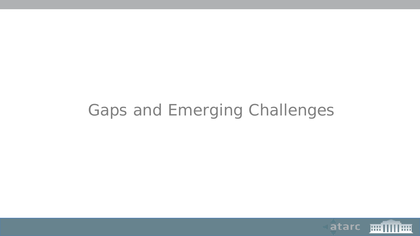# Gaps and Emerging Challenges

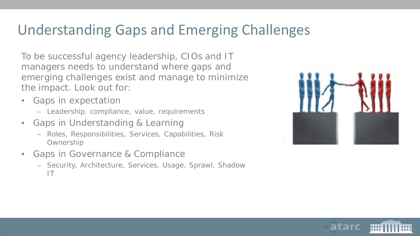### Understanding Gaps and Emerging Challenges

To be successful agency leadership, CIOs and IT managers needs to understand where gaps and emerging challenges exist and manage to minimize the impact. Look out for:

- Gaps in expectation
	- Leadership. compliance, value, requirements
- Gaps in Understanding & Learning
	- Roles, Responsibilities, Services, Capabilities, Risk **Ownership**
- Gaps in Governance & Compliance
	- Security, Architecture, Services, Usage, Sprawl, Shadow IT



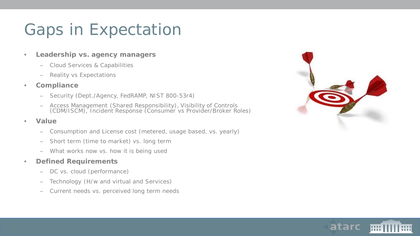# Gaps in Expectation

- **Leadership vs. agency managers**
	- Cloud Services & Capabilities
	- Reality vs Expectations
- **Compliance**
	- Security (Dept./Agency, FedRAMP, NIST 800-53r4)
	- Access Management (Shared Responsibility), Visibility of Controls (CDM/ISCM), Incident Response (Consumer vs Provider/Broker Roles)
- **Value**
	- Consumption and License cost (metered, usage based, vs. yearly)
	- Short term (time to market) vs. long term
	- What works now vs. how it is being used

#### • **Defined Requirements**

- DC vs. cloud (performance)
- Technology (H/w and virtual and Services)
- Current needs vs. perceived long term needs



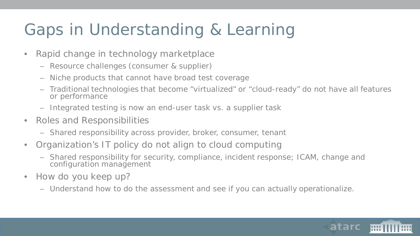# Gaps in Understanding & Learning

- Rapid change in technology marketplace
	- Resource challenges (consumer & supplier)
	- Niche products that cannot have broad test coverage
	- Traditional technologies that become "virtualized" or "cloud-ready" do not have all features or performance
	- Integrated testing is now an end-user task vs. a supplier task
- Roles and Responsibilities
	- Shared responsibility across provider, broker, consumer, tenant
- Organization's IT policy do not align to cloud computing
	- Shared responsibility for security, compliance, incident response; ICAM, change and configuration management
- How do you keep up?
	- Understand how to do the assessment and see if you can actually operationalize.

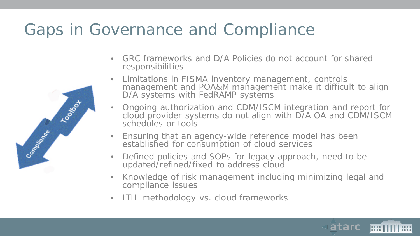# Gaps in Governance and Compliance

Toolso+

Commention Ree

- GRC frameworks and D/A Policies do not account for shared responsibilities
- Limitations in FISMA inventory management, controls management and POA&M management make it difficult to align D/A systems with FedRAMP systems
- Ongoing authorization and CDM/ISCM integration and report for cloud provider systems do not align with D/A OA and CDM/ISCM schedules or tools
- Ensuring that an agency-wide reference model has been established for consumption of cloud services
- Defined policies and SOPs for legacy approach, need to be updated/refined/fixed to address cloud
- Knowledge of risk management including minimizing legal and compliance issues
- ITIL methodology vs. cloud frameworks

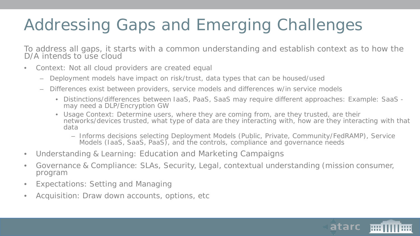# Addressing Gaps and Emerging Challenges

To address all gaps, it starts with a common understanding and establish context as to how the D/A intends to use cloud

- Context: Not all cloud providers are created equal
	- Deployment models have impact on risk/trust, data types that can be housed/used
	- Differences exist between providers, service models and differences w/in service models
		- Distinctions/differences between IaaS, PaaS, SaaS may require different approaches: Example: SaaS may need a DLP/Encryption GW
		- Usage Context: Determine users, where they are coming from, are they trusted, are their networks/devices trusted, what type of data are they interacting with, how are they interacting with that data
			- Informs decisions selecting Deployment Models (Public, Private, Community/FedRAMP), Service Models (IaaS, SaaS, PaaS), and the controls, compliance and governance needs
- Understanding & Learning: Education and Marketing Campaigns
- Governance & Compliance: SLAs, Security, Legal, contextual understanding (mission consumer, program
- Expectations: Setting and Managing
- Acquisition: Draw down accounts, options, etc

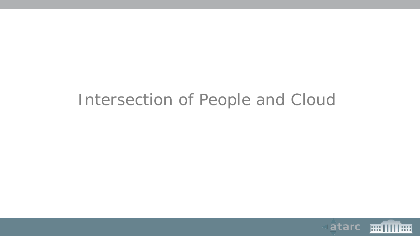### Intersection of People and Cloud

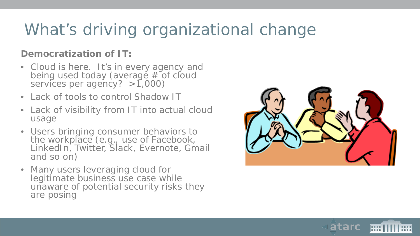# What's driving organizational change

### **Democratization of IT:**

- Cloud is here. It's in every agency and being used today (average # of cloud services per agency?  $>1,000$
- Lack of tools to control Shadow IT
- Lack of visibility from IT into actual cloud usage
- Users bringing consumer behaviors to the workplace (e.g., use of Facebook, LinkedIn, Twitter, Slack, Evernote, Gmail and so on)
- Many users leveraging cloud for legitimate business use case while unaware of potential security risks they are posing



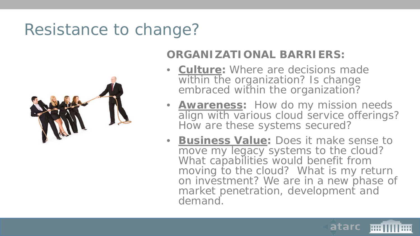# Resistance to change?



### **ORGANIZATIONAL BARRIERS:**

- **Culture:** Where are decisions made within the organization? Is change embraced within the organization?
- **Awareness:** How do my mission needs align with various cloud service offerings? How are these systems secured?
- **Business Value:** Does it make sense to move my legacy systems to the cloud? What capabilities would benefit from moving to the cloud? What is my return on investment? We are in a new phase of market penetration, development and demand.

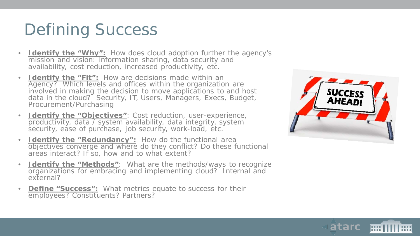# Defining Success

- **Identify the "Why":** How does cloud adoption further the agency's mission and vision: information sharing, data security and availability, cost reduction, increased productivity, etc.
- **Identify the "Fit":** How are decisions made within an Agency? Which levels and offices within the organization are involved in making the decision to move applications to and host data in the cloud? Security, IT, Users, Managers, Execs, Budget, Procurement/Purchasing
- **Identify the "Objectives"**: Cost reduction, user-experience, productivity, data / system availability, data integrity, system security, ease of purchase, job security, work-load, etc.
- **Identify the "Redundancy":** How do the functional area objectives converge and where do they conflict? Do these functional areas interact? If so, how and to what extent?
- **Identify the "Methods"**: What are the methods/ways to recognize organizations for embracing and implementing cloud? Internal and external?
- **Define "Success":** What metrics equate to success for their employees? Constituents? Partners?



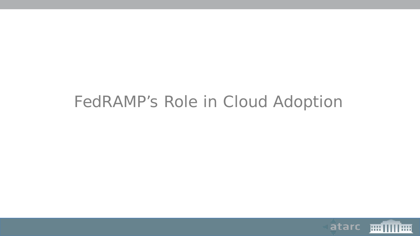# FedRAMP's Role in Cloud Adoption

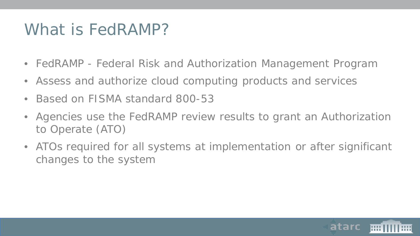# What is FedRAMP?

- FedRAMP Federal Risk and Authorization Management Program
- Assess and authorize cloud computing products and services
- Based on FISMA standard 800-53
- Agencies use the FedRAMP review results to grant an Authorization to Operate (ATO)
- ATOs required for all systems at implementation or after significant changes to the system

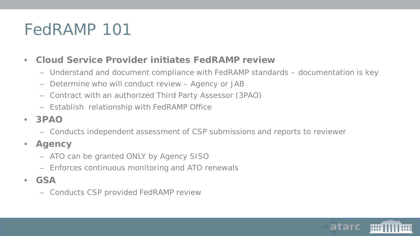# FedRAMP 101

- **Cloud Service Provider initiates FedRAMP review**
	- Understand and document compliance with FedRAMP standards documentation is key
	- Determine who will conduct review Agency or JAB
	- Contract with an authorized Third Party Assessor (3PAO)
	- Establish relationship with FedRAMP Office
- **3PAO**
	- Conducts independent assessment of CSP submissions and reports to reviewer
- **Agency**
	- ATO can be granted ONLY by Agency SISO
	- Enforces continuous monitoring and ATO renewals
- **GSA**
	- Conducts CSP provided FedRAMP review

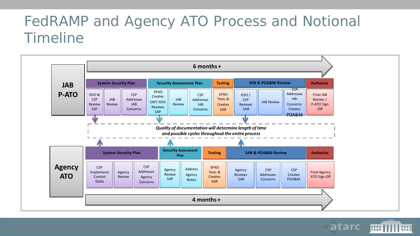### FedRAMP and Agency ATO Process and Notional Timeline



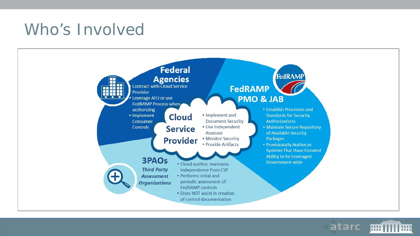# Who's Involved



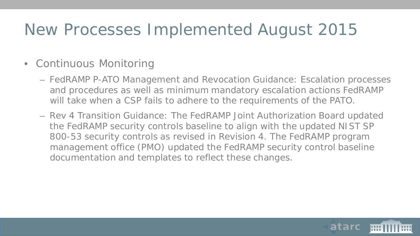# New Processes Implemented August 2015

### • Continuous Monitoring

- FedRAMP P-ATO Management and Revocation Guidance: Escalation processes and procedures as well as minimum mandatory escalation actions FedRAMP will take when a CSP fails to adhere to the requirements of the PATO.
- Rev 4 Transition Guidance: The FedRAMP Joint Authorization Board updated the FedRAMP security controls baseline to align with the updated NIST SP 800-53 security controls as revised in Revision 4. The FedRAMP program management office (PMO) updated the FedRAMP security control baseline documentation and templates to reflect these changes.

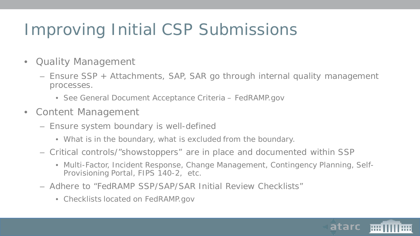# Improving Initial CSP Submissions

- Quality Management
	- Ensure SSP + Attachments, SAP, SAR go through internal quality management processes.
		- See General Document Acceptance Criteria FedRAMP.gov
- Content Management
	- Ensure system boundary is well-defined
		- What is in the boundary, what is excluded from the boundary.
	- Critical controls/"showstoppers" are in place and documented within SSP
		- Multi-Factor, Incident Response, Change Management, Contingency Planning, Self-Provisioning Portal, FIPS 140-2, etc.
	- Adhere to "FedRAMP SSP/SAP/SAR Initial Review Checklists"
		- Checklists located on FedRAMP.gov

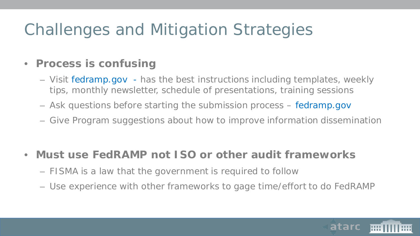# Challenges and Mitigation Strategies

### • **Process is confusing**

- Visit fedramp.gov has the best instructions including templates, weekly tips, monthly newsletter, schedule of presentations, training sessions
- Ask questions before starting the submission process fedramp.gov
- Give Program suggestions about how to improve information dissemination

### • **Must use FedRAMP not ISO or other audit frameworks**

- FISMA is a law that the government is required to follow
- Use experience with other frameworks to gage time/effort to do FedRAMP

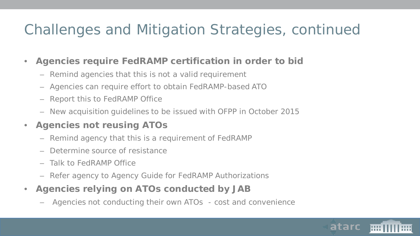### Challenges and Mitigation Strategies, continued

- **Agencies require FedRAMP certification in order to bid** 
	- Remind agencies that this is not a valid requirement
	- Agencies can require effort to obtain FedRAMP-based ATO
	- Report this to FedRAMP Office
	- New acquisition guidelines to be issued with OFPP in October 2015
- **Agencies not reusing ATOs**
	- Remind agency that this is a requirement of FedRAMP
	- Determine source of resistance
	- Talk to FedRAMP Office
	- Refer agency to *Agency Guide for FedRAMP Authorizations*
- **Agencies relying on ATOs conducted by JAB** 
	- Agencies not conducting their own ATOs cost and convenience